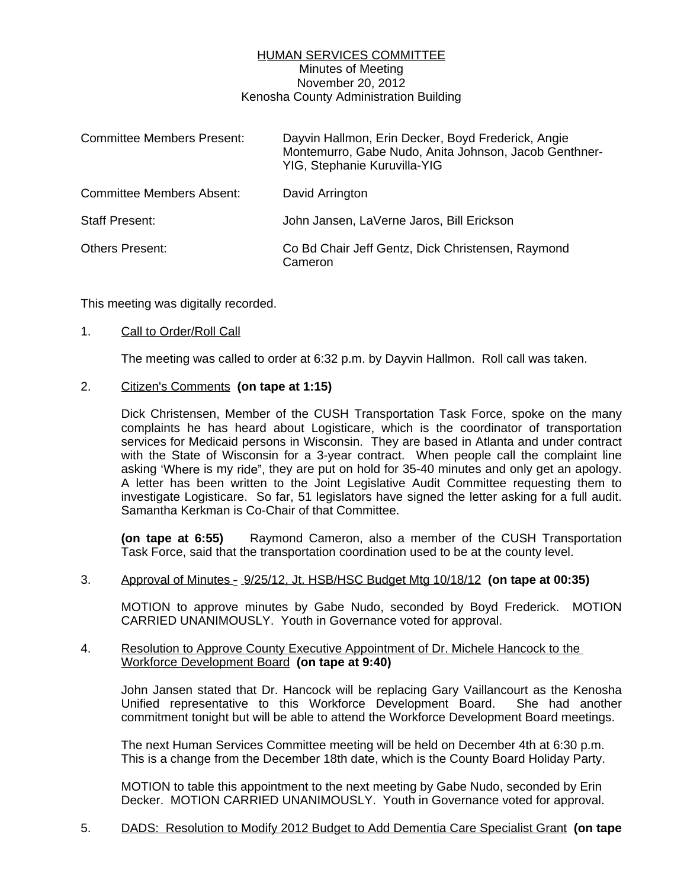### HUMAN SERVICES COMMITTEE Minutes of Meeting November 20, 2012 Kenosha County Administration Building

| <b>Committee Members Present:</b> | Dayvin Hallmon, Erin Decker, Boyd Frederick, Angie<br>Montemurro, Gabe Nudo, Anita Johnson, Jacob Genthner-<br>YIG, Stephanie Kuruvilla-YIG |
|-----------------------------------|---------------------------------------------------------------------------------------------------------------------------------------------|
| <b>Committee Members Absent:</b>  | David Arrington                                                                                                                             |
| <b>Staff Present:</b>             | John Jansen, LaVerne Jaros, Bill Erickson                                                                                                   |
| <b>Others Present:</b>            | Co Bd Chair Jeff Gentz, Dick Christensen, Raymond<br>Cameron                                                                                |

This meeting was digitally recorded.

### 1. Call to Order/Roll Call

The meeting was called to order at 6:32 p.m. by Dayvin Hallmon. Roll call was taken.

# 2. Citizen's Comments **(on tape at 1:15)**

Dick Christensen, Member of the CUSH Transportation Task Force, spoke on the many complaints he has heard about Logisticare, which is the coordinator of transportation services for Medicaid persons in Wisconsin. They are based in Atlanta and under contract with the State of Wisconsin for a 3-year contract. When people call the complaint line asking 'Where is my ride", they are put on hold for 35-40 minutes and only get an apology. A letter has been written to the Joint Legislative Audit Committee requesting them to investigate Logisticare. So far, 51 legislators have signed the letter asking for a full audit. Samantha Kerkman is Co-Chair of that Committee.

**(on tape at 6:55)** Raymond Cameron, also a member of the CUSH Transportation Task Force, said that the transportation coordination used to be at the county level.

# 3. Approval of Minutes – 9/25/12, Jt. HSB/HSC Budget Mtg 10/18/12 **(on tape at 00:35)**

MOTION to approve minutes by Gabe Nudo, seconded by Boyd Frederick. MOTION CARRIED UNANIMOUSLY. Youth in Governance voted for approval.

# 4. Resolution to Approve County Executive Appointment of Dr. Michele Hancock to the Workforce Development Board **(on tape at 9:40)**

John Jansen stated that Dr. Hancock will be replacing Gary Vaillancourt as the Kenosha Unified representative to this Workforce Development Board. She had another commitment tonight but will be able to attend the Workforce Development Board meetings.

The next Human Services Committee meeting will be held on December 4th at 6:30 p.m. This is a change from the December 18th date, which is the County Board Holiday Party.

MOTION to table this appointment to the next meeting by Gabe Nudo, seconded by Erin Decker. MOTION CARRIED UNANIMOUSLY. Youth in Governance voted for approval.

5. DADS: Resolution to Modify 2012 Budget to Add Dementia Care Specialist Grant **(on tape**